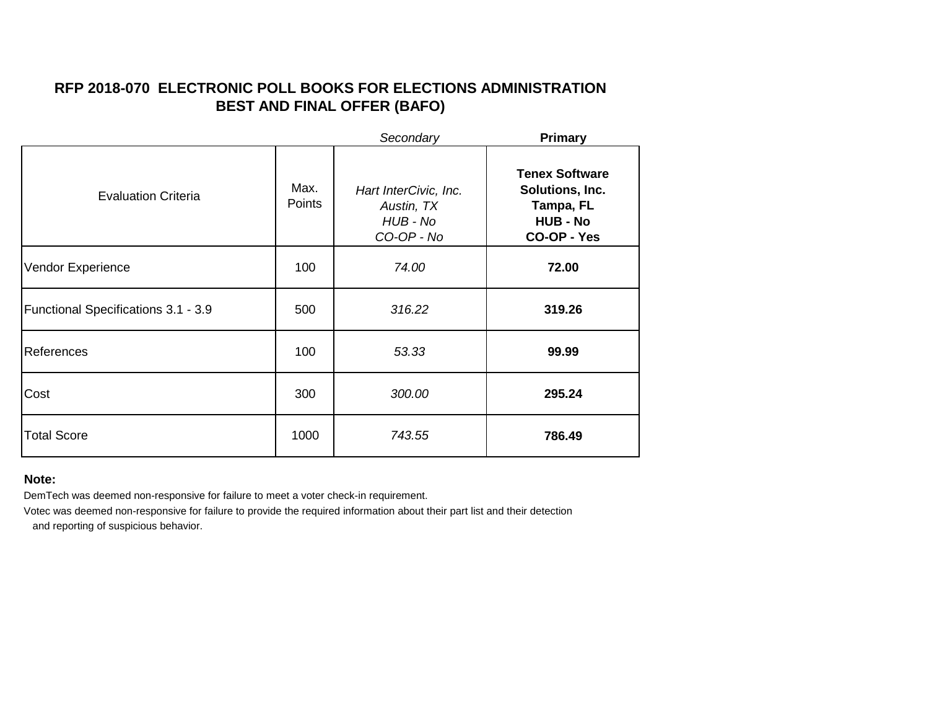# **RFP 2018-070 ELECTRONIC POLL BOOKS FOR ELECTIONS ADMINISTRATION BEST AND FINAL OFFER (BAFO)**

|                                     |                | Secondary                                                     | <b>Primary</b>                                                                          |
|-------------------------------------|----------------|---------------------------------------------------------------|-----------------------------------------------------------------------------------------|
| <b>Evaluation Criteria</b>          | Max.<br>Points | Hart InterCivic, Inc.<br>Austin, TX<br>HUB - No<br>CO-OP - No | <b>Tenex Software</b><br>Solutions, Inc.<br>Tampa, FL<br><b>HUB - No</b><br>CO-OP - Yes |
| Vendor Experience                   | 100            | 74.00                                                         | 72.00                                                                                   |
| Functional Specifications 3.1 - 3.9 | 500            | 316.22                                                        | 319.26                                                                                  |
| References                          | 100            | 53.33                                                         | 99.99                                                                                   |
| Cost                                | 300            | 300.00                                                        | 295.24                                                                                  |
| <b>Total Score</b>                  | 1000           | 743.55                                                        | 786.49                                                                                  |

### **Note:**

DemTech was deemed non-responsive for failure to meet a voter check-in requirement.

Votec was deemed non-responsive for failure to provide the required information about their part list and their detection

and reporting of suspicious behavior.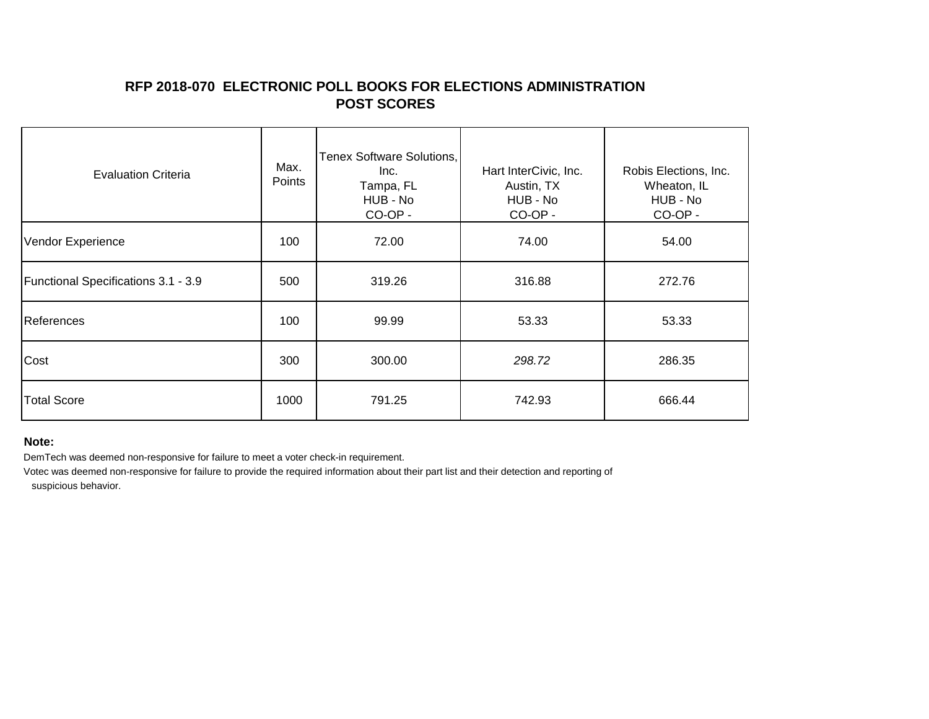## **RFP 2018-070 ELECTRONIC POLL BOOKS FOR ELECTIONS ADMINISTRATION POST SCORES**

| <b>Evaluation Criteria</b>          | Max.<br>Points | <b>Tenex Software Solutions,</b><br>Inc.<br>Tampa, FL<br>HUB - No<br>CO-OP - | Hart InterCivic, Inc.<br>Austin, TX<br>HUB - No<br>CO-OP - | Robis Elections, Inc.<br>Wheaton, IL<br>HUB - No<br>CO-OP - |
|-------------------------------------|----------------|------------------------------------------------------------------------------|------------------------------------------------------------|-------------------------------------------------------------|
| Vendor Experience                   | 100            | 72.00                                                                        | 74.00                                                      | 54.00                                                       |
| Functional Specifications 3.1 - 3.9 | 500            | 319.26                                                                       | 316.88                                                     | 272.76                                                      |
| References                          | 100            | 99.99                                                                        | 53.33                                                      | 53.33                                                       |
| Cost                                | 300            | 300.00                                                                       | 298.72                                                     | 286.35                                                      |
| <b>Total Score</b>                  | 1000           | 791.25                                                                       | 742.93                                                     | 666.44                                                      |

#### **Note:**

DemTech was deemed non-responsive for failure to meet a voter check-in requirement.

Votec was deemed non-responsive for failure to provide the required information about their part list and their detection and reporting of suspicious behavior.